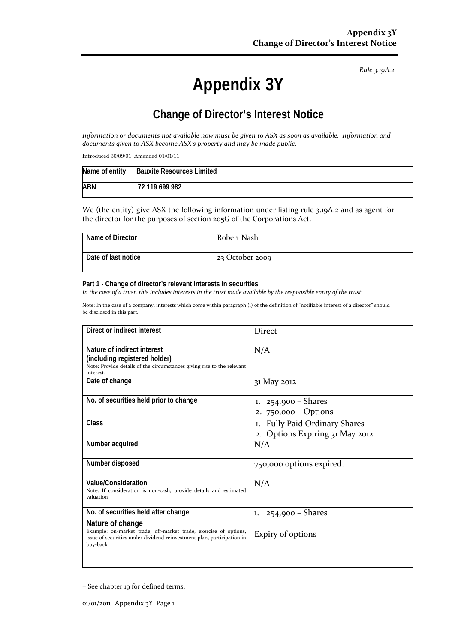*Rule 3.19A.2*

# **Appendix 3Y**

# **Change of Director's Interest Notice**

*Information or documents not available now must be given to ASX as soon as available. Information and documents given to ASX become ASX's property and may be made public.*

Introduced 30/09/01 Amended 01/01/11

|            | Name of entity Bauxite Resources Limited |
|------------|------------------------------------------|
| <b>ABN</b> | 72 119 699 982                           |

We (the entity) give ASX the following information under listing rule 3.19A.2 and as agent for the director for the purposes of section 205G of the Corporations Act.

| Name of Director    | Robert Nash     |
|---------------------|-----------------|
| Date of last notice | 23 October 2009 |

#### **Part 1 - Change of director's relevant interests in securities**

*In the case of a trust, this includes interests in the trust made available by the responsible entity of the trust*

Note: In the case of a company, interests which come within paragraph (i) of the definition of "notifiable interest of a director" should be disclosed in this part.

| Direct or indirect interest                                                                                                                                                | <b>Direct</b>                                                                 |
|----------------------------------------------------------------------------------------------------------------------------------------------------------------------------|-------------------------------------------------------------------------------|
| Nature of indirect interest<br>(including registered holder)<br>Note: Provide details of the circumstances giving rise to the relevant<br>interest.                        | N/A                                                                           |
| Date of change                                                                                                                                                             | 31 May 2012                                                                   |
| No. of securities held prior to change                                                                                                                                     | $254,900 -$ Shares<br>1.<br>$750,000 - Options$<br>2.                         |
| Class                                                                                                                                                                      | <b>Fully Paid Ordinary Shares</b><br>1.<br>Options Expiring 31 May 2012<br>2. |
| Number acquired                                                                                                                                                            | N/A                                                                           |
| Number disposed                                                                                                                                                            | 750,000 options expired.                                                      |
| Value/Consideration<br>Note: If consideration is non-cash, provide details and estimated<br>valuation                                                                      | N/A                                                                           |
| No. of securities held after change                                                                                                                                        | 254,900 - Shares<br>1.                                                        |
| Nature of change<br>Example: on-market trade, off-market trade, exercise of options,<br>issue of securities under dividend reinvestment plan, participation in<br>buy-back | Expiry of options                                                             |

<sup>+</sup> See chapter 19 for defined terms.